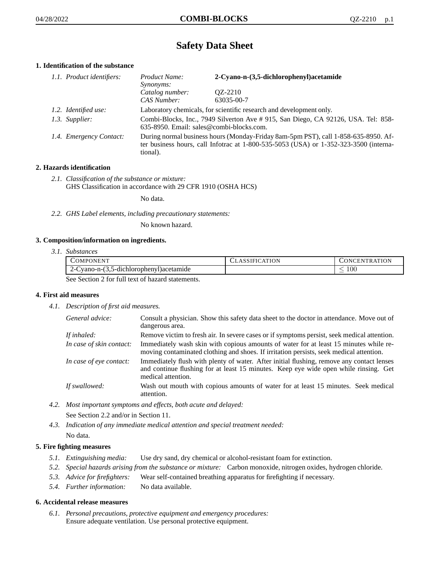# **Safety Data Sheet**

# **1. Identification of the substance**

| 1.1. Product identifiers: | Product Name:<br><i>Synonyms:</i>                                                                                                                                                           | 2-Cyano-n-(3,5-dichlorophenyl) acetamide |
|---------------------------|---------------------------------------------------------------------------------------------------------------------------------------------------------------------------------------------|------------------------------------------|
|                           | Catalog number:<br>CAS Number:                                                                                                                                                              | QZ-2210<br>63035-00-7                    |
| 1.2. Identified use:      | Laboratory chemicals, for scientific research and development only.                                                                                                                         |                                          |
| 1.3. Supplier:            | Combi-Blocks, Inc., 7949 Silverton Ave # 915, San Diego, CA 92126, USA. Tel: 858-<br>635-8950. Email: sales@combi-blocks.com.                                                               |                                          |
| 1.4. Emergency Contact:   | During normal business hours (Monday-Friday 8am-5pm PST), call 1-858-635-8950. Af-<br>ter business hours, call Infotrac at $1-800-535-5053$ (USA) or $1-352-323-3500$ (interna-<br>tional). |                                          |

# **2. Hazards identification**

*2.1. Classification of the substance or mixture:* GHS Classification in accordance with 29 CFR 1910 (OSHA HCS)

No data.

*2.2. GHS Label elements, including precautionary statements:*

No known hazard.

## **3. Composition/information on ingredients.**

*3.1. Substances*

| COMPONENT                                      | LASSIFICATION | CONCENTRATION. |
|------------------------------------------------|---------------|----------------|
| 2-Cyano-n-(3,5-dichlorophenyl) acetamide       |               | $\overline{0}$ |
| See Section 2 for full tout of here determined |               |                |

See Section 2 for full text of hazard statements.

## **4. First aid measures**

*4.1. Description of first aid measures.*

| General advice:          | Consult a physician. Show this safety data sheet to the doctor in attendance. Move out of<br>dangerous area.                                                                                            |
|--------------------------|---------------------------------------------------------------------------------------------------------------------------------------------------------------------------------------------------------|
| If inhaled:              | Remove victim to fresh air. In severe cases or if symptoms persist, seek medical attention.                                                                                                             |
| In case of skin contact: | Immediately wash skin with copious amounts of water for at least 15 minutes while re-<br>moving contaminated clothing and shoes. If irritation persists, seek medical attention.                        |
| In case of eye contact:  | Immediately flush with plenty of water. After initial flushing, remove any contact lenses<br>and continue flushing for at least 15 minutes. Keep eye wide open while rinsing. Get<br>medical attention. |
| If swallowed:            | Wash out mouth with copious amounts of water for at least 15 minutes. Seek medical<br>attention.                                                                                                        |

*4.2. Most important symptoms and effects, both acute and delayed:*

See Section 2.2 and/or in Section 11.

*4.3. Indication of any immediate medical attention and special treatment needed:* No data.

## **5. Fire fighting measures**

- *5.1. Extinguishing media:* Use dry sand, dry chemical or alcohol-resistant foam for extinction.
- *5.2. Special hazards arising from the substance or mixture:* Carbon monoxide, nitrogen oxides, hydrogen chloride.
- *5.3. Advice for firefighters:* Wear self-contained breathing apparatus for firefighting if necessary.
- *5.4. Further information:* No data available.

## **6. Accidental release measures**

*6.1. Personal precautions, protective equipment and emergency procedures:* Ensure adequate ventilation. Use personal protective equipment.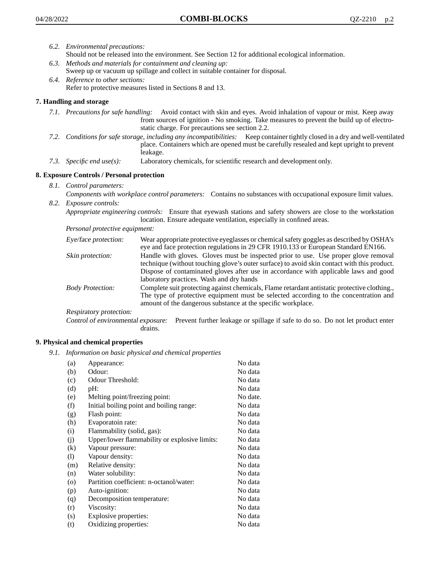- *6.2. Environmental precautions:* Should not be released into the environment. See Section 12 for additional ecological information.
- *6.3. Methods and materials for containment and cleaning up:* Sweep up or vacuum up spillage and collect in suitable container for disposal.
- *6.4. Reference to other sections:* Refer to protective measures listed in Sections 8 and 13.

# **7. Handling and storage**

- *7.1. Precautions for safe handling:* Avoid contact with skin and eyes. Avoid inhalation of vapour or mist. Keep away from sources of ignition - No smoking. Take measures to prevent the build up of electrostatic charge. For precautions see section 2.2.
- *7.2. Conditions for safe storage, including any incompatibilities:* Keep container tightly closed in a dry and well-ventilated place. Containers which are opened must be carefully resealed and kept upright to prevent leakage.
- *7.3. Specific end use(s):* Laboratory chemicals, for scientific research and development only.

## **8. Exposure Controls / Personal protection**

- *8.1. Control parameters:*
- *Components with workplace control parameters:* Contains no substances with occupational exposure limit values. *8.2. Exposure controls:*

*Appropriate engineering controls:* Ensure that eyewash stations and safety showers are close to the workstation location. Ensure adequate ventilation, especially in confined areas.

*Personal protective equipment:*

| Eye/face protection:    | Wear appropriate protective eyeglasses or chemical safety goggles as described by OSHA's<br>eye and face protection regulations in 29 CFR 1910.133 or European Standard EN166.                                                                                                                                         |
|-------------------------|------------------------------------------------------------------------------------------------------------------------------------------------------------------------------------------------------------------------------------------------------------------------------------------------------------------------|
| Skin protection:        | Handle with gloves. Gloves must be inspected prior to use. Use proper glove removal<br>technique (without touching glove's outer surface) to avoid skin contact with this product.<br>Dispose of contaminated gloves after use in accordance with applicable laws and good<br>laboratory practices. Wash and dry hands |
| <b>Body Protection:</b> | Complete suit protecting against chemicals, Flame retardant antistatic protective clothing.,<br>The type of protective equipment must be selected according to the concentration and<br>amount of the dangerous substance at the specific workplace.                                                                   |
| Respiratory protection: |                                                                                                                                                                                                                                                                                                                        |

Control of environmental exposure: Prevent further leakage or spillage if safe to do so. Do not let product enter drains.

## **9. Physical and chemical properties**

*9.1. Information on basic physical and chemical properties*

| (a)                        | Appearance:                                   | No data  |
|----------------------------|-----------------------------------------------|----------|
| (b)                        | Odour:                                        | No data  |
| (c)                        | Odour Threshold:                              | No data  |
| (d)                        | pH:                                           | No data  |
| (e)                        | Melting point/freezing point:                 | No date. |
| (f)                        | Initial boiling point and boiling range:      | No data  |
| (g)                        | Flash point:                                  | No data  |
| (h)                        | Evaporatoin rate:                             | No data  |
| (i)                        | Flammability (solid, gas):                    | No data  |
| (j)                        | Upper/lower flammability or explosive limits: | No data  |
| (k)                        | Vapour pressure:                              | No data  |
| $\left( \mathrm{l}\right)$ | Vapour density:                               | No data  |
| (m)                        | Relative density:                             | No data  |
| (n)                        | Water solubility:                             | No data  |
| $\circ$                    | Partition coefficient: n-octanol/water:       | No data  |
| (p)                        | Auto-ignition:                                | No data  |
| (q)                        | Decomposition temperature:                    | No data  |
| (r)                        | Viscosity:                                    | No data  |
| (s)                        | Explosive properties:                         | No data  |
| (t)                        | Oxidizing properties:                         | No data  |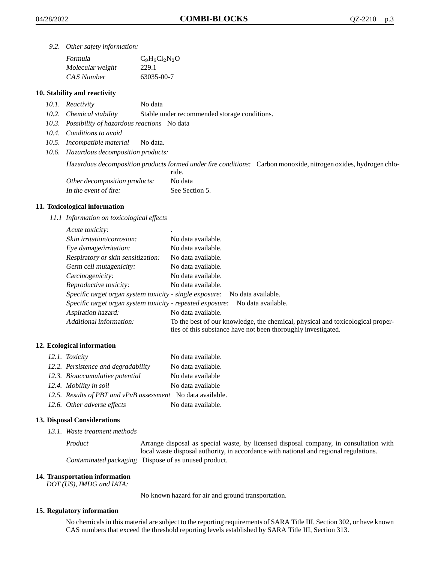*9.2. Other safety information:*

| Formula          | $C_9H_6Cl_2N_2O$ |
|------------------|------------------|
| Molecular weight | 229.1            |
| CAS Number       | 63035-00-7       |

## **10. Stability and reactivity**

- *10.1. Reactivity* No data
- *10.2. Chemical stability* Stable under recommended storage conditions.
- *10.3. Possibility of hazardous reactions* No data
- *10.4. Conditions to avoid*
- *10.5. Incompatible material* No data.
- *10.6. Hazardous decomposition products:*

Hazardous decomposition products formed under fire conditions: Carbon monoxide, nitrogen oxides, hydrogen chlo-

|                               | ride.          |
|-------------------------------|----------------|
| Other decomposition products: | No data        |
| In the event of fire:         | See Section 5. |

## **11. Toxicological information**

*11.1 Information on toxicological effects*

| Acute toxicity:                                            | ٠                                                                                                                                               |
|------------------------------------------------------------|-------------------------------------------------------------------------------------------------------------------------------------------------|
| Skin irritation/corrosion:                                 | No data available.                                                                                                                              |
| Eye damage/irritation:                                     | No data available.                                                                                                                              |
| Respiratory or skin sensitization:                         | No data available.                                                                                                                              |
| Germ cell mutagenicity:                                    | No data available.                                                                                                                              |
| Carcinogenicity:                                           | No data available.                                                                                                                              |
| Reproductive toxicity:                                     | No data available.                                                                                                                              |
| Specific target organ system toxicity - single exposure:   | No data available.                                                                                                                              |
| Specific target organ system toxicity - repeated exposure: | No data available.                                                                                                                              |
| Aspiration hazard:                                         | No data available.                                                                                                                              |
| Additional information:                                    | To the best of our knowledge, the chemical, physical and toxicological proper-<br>ties of this substance have not been thoroughly investigated. |

## **12. Ecological information**

| 12.1. Toxicity                                              | No data available. |
|-------------------------------------------------------------|--------------------|
| 12.2. Persistence and degradability                         | No data available. |
| 12.3. Bioaccumulative potential                             | No data available  |
| 12.4. Mobility in soil                                      | No data available  |
| 12.5. Results of PBT and vPvB assessment No data available. |                    |
| 12.6. Other adverse effects                                 | No data available. |

## **13. Disposal Considerations**

*13.1. Waste treatment methods*

Product Arrange disposal as special waste, by licensed disposal company, in consultation with local waste disposal authority, in accordance with national and regional regulations. Contaminated packaging Dispose of as unused product.

#### **14. Transportation information**

*DOT (US), IMDG and IATA:*

No known hazard for air and ground transportation.

## **15. Regulatory information**

No chemicals in this material are subject to the reporting requirements of SARA Title III, Section 302, or have known CAS numbers that exceed the threshold reporting levels established by SARA Title III, Section 313.